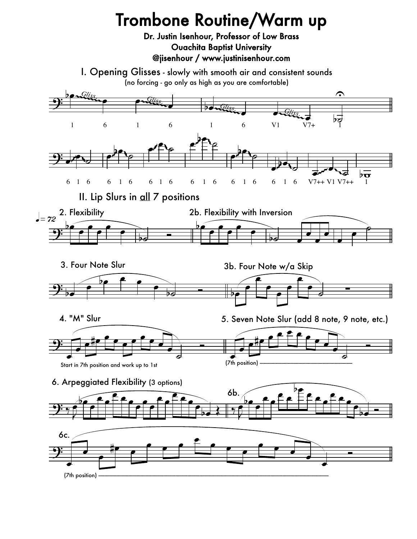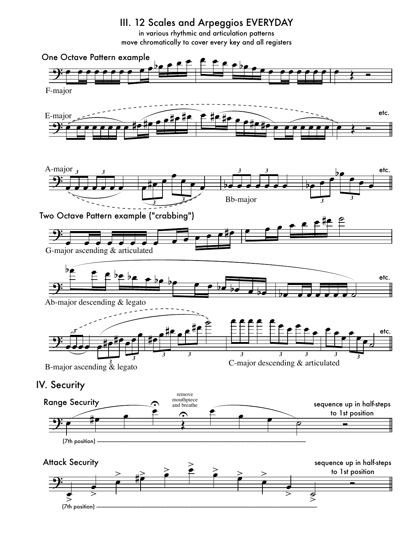## III. 12 Scales and Arpeggios EVERYDAY

in various rhythmic and articulation patterns move chromatically to cover every key and all registers